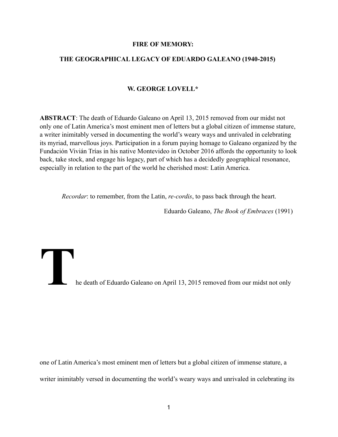### **FIRE OF MEMORY:**

## **THE GEOGRAPHICAL LEGACY OF EDUARDO GALEANO (1940-2015)**

# **W. GEORGE LOVELL\***

**ABSTRACT**: The death of Eduardo Galeano on April 13, 2015 removed from our midst not only one of Latin America's most eminent men of letters but a global citizen of immense stature, a writer inimitably versed in documenting the world's weary ways and unrivaled in celebrating its myriad, marvellous joys. Participation in a forum paying homage to Galeano organized by the Fundación Vivián Trías in his native Montevideo in October 2016 affords the opportunity to look back, take stock, and engage his legacy, part of which has a decidedly geographical resonance, especially in relation to the part of the world he cherished most: Latin America.

*Recordar*: to remember, from the Latin, *re-cordis*, to pass back through the heart.

Eduardo Galeano, *The Book of Embraces* (1991)

**The death of Eduardo Galeano on April 13, 2015 removed from our midst not only be death of Eduardo Galeano on April 13, 2015 removed from our midst not only** 

one of Latin America's most eminent men of letters but a global citizen of immense stature, a writer inimitably versed in documenting the world's weary ways and unrivaled in celebrating its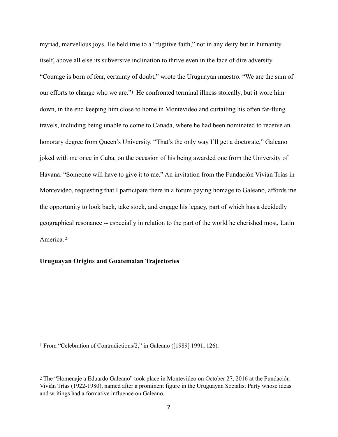<span id="page-1-2"></span>myriad, marvellous joys. He held true to a "fugitive faith," not in any deity but in humanity itself, above all else its subversive inclination to thrive even in the face of dire adversity. "Courage is born of fear, certainty of doubt," wrote the Uruguayan maestro. "We are the sum of our efforts to change who we are.["1](#page-1-0) He confronted terminal illness stoically, but it wore him down, in the end keeping him close to home in Montevideo and curtailing his often far-flung travels, including being unable to come to Canada, where he had been nominated to receive an honorary degree from Queen's University. "That's the only way I'll get a doctorate," Galeano joked with me once in Cuba, on the occasion of his being awarded one from the University of Havana. "Someone will have to give it to me." An invitation from the Fundación Vivián Trías in Montevideo, requesting that I participate there in a forum paying homage to Galeano, affords me the opportunity to look back, take stock, and engage his legacy, part of which has a decidedly geographical resonance -- especially in relation to the part of the world he cherished most, Latin America. [2](#page-1-1)

# <span id="page-1-3"></span>**Uruguayan Origins and Guatemalan Trajectories**

<span id="page-1-0"></span>[<sup>1</sup>](#page-1-2) From "Celebration of Contradictions/2," in Galeano ([1989] 1991, 126).

<span id="page-1-1"></span>[<sup>2</sup>](#page-1-3) The "Homenaje a Eduardo Galeano" took place in Montevideo on October 27, 2016 at the Fundación Vivián Trías (1922-1980), named after a prominent figure in the Uruguayan Socialist Party whose ideas and writings had a formative influence on Galeano.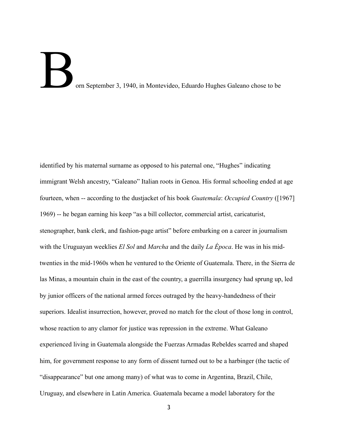# orn September 3, 1940, in Montevideo, Eduardo Hughes Galeano chose to be

identified by his maternal surname as opposed to his paternal one, "Hughes" indicating immigrant Welsh ancestry, "Galeano" Italian roots in Genoa. His formal schooling ended at age fourteen, when -- according to the dustjacket of his book *Guatemala*: *Occupied Country* ([1967] 1969) -- he began earning his keep "as a bill collector, commercial artist, caricaturist, stenographer, bank clerk, and fashion-page artist" before embarking on a career in journalism with the Uruguayan weeklies *El Sol* and *Marcha* and the daily *La Época*. He was in his midtwenties in the mid-1960s when he ventured to the Oriente of Guatemala. There, in the Sierra de las Minas, a mountain chain in the east of the country, a guerrilla insurgency had sprung up, led by junior officers of the national armed forces outraged by the heavy-handedness of their superiors. Idealist insurrection, however, proved no match for the clout of those long in control, whose reaction to any clamor for justice was repression in the extreme. What Galeano experienced living in Guatemala alongside the Fuerzas Armadas Rebeldes scarred and shaped him, for government response to any form of dissent turned out to be a harbinger (the tactic of "disappearance" but one among many) of what was to come in Argentina, Brazil, Chile, Uruguay, and elsewhere in Latin America. Guatemala became a model laboratory for the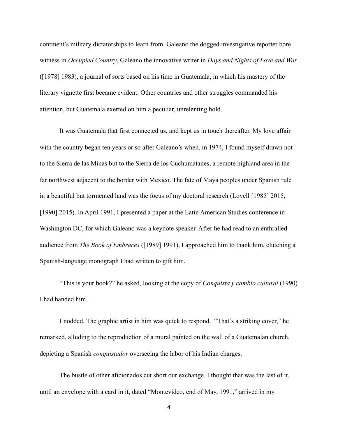continent's military dictatorships to learn from. Galeano the dogged investigative reporter bore witness in *Occupied Country*, Galeano the innovative writer in *Days and Nights of Love and War*  ([1978] 1983), a journal of sorts based on his time in Guatemala, in which his mastery of the literary vignette first became evident. Other countries and other struggles commanded his attention, but Guatemala exerted on him a peculiar, unrelenting hold.

 It was Guatemala that first connected us, and kept us in touch thereafter. My love affair with the country began ten years or so after Galeano's when, in 1974, I found myself drawn not to the Sierra de las Minas but to the Sierra de los Cuchumatanes, a remote highland area in the far northwest adjacent to the border with Mexico. The fate of Maya peoples under Spanish rule in a beautiful but tormented land was the focus of my doctoral research (Lovell [1985] 2015, [1990] 2015). In April 1991, I presented a paper at the Latin American Studies conference in Washington DC, for which Galeano was a keynote speaker. After he had read to an enthralled audience from *The Book of Embraces* ([1989] 1991), I approached him to thank him, clutching a Spanish-language monograph I had written to gift him.

 "This is your book?" he asked, looking at the copy of *Conquista y cambio cultural* (1990) I had handed him.

I nodded. The graphic artist in him was quick to respond. "That's a striking cover," he remarked, alluding to the reproduction of a mural painted on the wall of a Guatemalan church, depicting a Spanish *conquistador* overseeing the labor of his Indian charges.

 The bustle of other aficionados cut short our exchange. I thought that was the last of it, until an envelope with a card in it, dated "Montevideo, end of May, 1991," arrived in my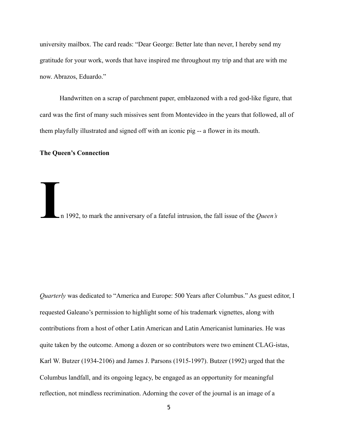university mailbox. The card reads: "Dear George: Better late than never, I hereby send my gratitude for your work, words that have inspired me throughout my trip and that are with me now. Abrazos, Eduardo."

 Handwritten on a scrap of parchment paper, emblazoned with a red god-like figure, that card was the first of many such missives sent from Montevideo in the years that followed, all of them playfully illustrated and signed off with an iconic pig -- a flower in its mouth.

#### **The Queen's Connection**

I<sub>n</sub> 1992, to mark the anniversary of a fateful intrusion, the fall issue of the *Queen's* 

*Quarterly* was dedicated to "America and Europe: 500 Years after Columbus." As guest editor, I requested Galeano's permission to highlight some of his trademark vignettes, along with contributions from a host of other Latin American and Latin Americanist luminaries. He was quite taken by the outcome. Among a dozen or so contributors were two eminent CLAG-istas, Karl W. Butzer (1934-2106) and James J. Parsons (1915-1997). Butzer (1992) urged that the Columbus landfall, and its ongoing legacy, be engaged as an opportunity for meaningful reflection, not mindless recrimination. Adorning the cover of the journal is an image of a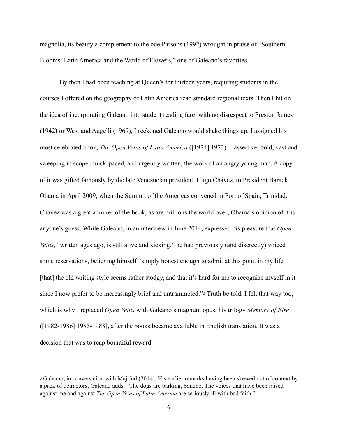magnolia, its beauty a complement to the ode Parsons (1992) wrought in praise of "Southern Blooms: Latin America and the World of Flowers," one of Galeano's favorites.

 By then I had been teaching at Queen's for thirteen years, requiring students in the courses I offered on the geography of Latin America read standard regional texts. Then I hit on the idea of incorporating Galeano into student reading fare: with no disrespect to Preston James (1942**)** or West and Augelli (1969), I reckoned Galeano would shake things up. I assigned his most celebrated book, *The Open Veins of Latin America* ([1971] 1973) -- assertive, bold, vast and sweeping in scope, quick-paced, and urgently written, the work of an angry young man. A copy of it was gifted famously by the late Venezuelan president, Hugo Chávez, to President Barack Obama in April 2009, when the Summit of the Americas convened in Port of Spain, Trinidad. Chávez was a great admirer of the book, as are millions the world over; Obama's opinion of it is anyone's guess. While Galeano, in an interview in June 2014, expressed his pleasure that *Open Veins*, "written ages ago, is still alive and kicking," he had previously (and discreetly) voiced some reservations, believing himself "simply honest enough to admit at this point in my life [that] the old writing style seems rather stodgy, and that it's hard for me to recognize myself in it since I now prefer to be increasingly brief and untrammeled."[3](#page-5-0) Truth be told, I felt that way too, which is why I replaced *Open Veins* with Galeano's magnum opus, his trilogy *Memory of Fire* ([1982-1986] 1985-1988], after the books became available in English translation. It was a decision that was to reap bountiful reward.

<span id="page-5-1"></span><span id="page-5-0"></span>[<sup>3</sup>](#page-5-1) Galeano, in conversation with Majifud (2014). His earlier remarks having been skewed out of context by a pack of detractors, Galeano adds: "The dogs are barking, Sancho. The voices that have been raised against me and against *The Open Veins of Latin America* are seriously ill with bad faith."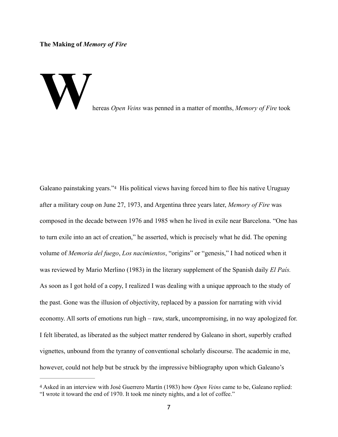**The Making of** *Memory of Fire*



<span id="page-6-1"></span>Galeano painstaking years."[4](#page-6-0) His political views having forced him to flee his native Uruguay after a military coup on June 27, 1973, and Argentina three years later, *Memory of Fire* was composed in the decade between 1976 and 1985 when he lived in exile near Barcelona. "One has to turn exile into an act of creation," he asserted, which is precisely what he did. The opening volume of *Memoria del fuego*, *Los nacimientos*, "origins" or "genesis," I had noticed when it was reviewed by Mario Merlino (1983) in the literary supplement of the Spanish daily *El País.* As soon as I got hold of a copy, I realized I was dealing with a unique approach to the study of the past. Gone was the illusion of objectivity, replaced by a passion for narrating with vivid economy. All sorts of emotions run high – raw, stark, uncompromising, in no way apologized for. I felt liberated, as liberated as the subject matter rendered by Galeano in short, superbly crafted vignettes, unbound from the tyranny of conventional scholarly discourse. The academic in me, however, could not help but be struck by the impressive bibliography upon which Galeano's

<span id="page-6-0"></span>[<sup>4</sup>](#page-6-1) Asked in an interview with José Guerrero Martín (1983) how *Open Veins* came to be, Galeano replied: "I wrote it toward the end of 1970. It took me ninety nights, and a lot of coffee."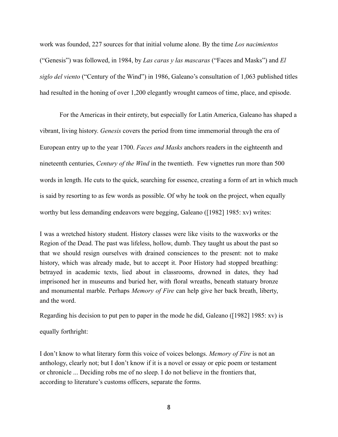work was founded, 227 sources for that initial volume alone. By the time *Los nacimientos* ("Genesis") was followed, in 1984, by *Las caras y las mascaras* ("Faces and Masks") and *El siglo del viento* ("Century of the Wind") in 1986, Galeano's consultation of 1,063 published titles had resulted in the honing of over 1,200 elegantly wrought cameos of time, place, and episode.

 For the Americas in their entirety, but especially for Latin America, Galeano has shaped a vibrant, living history. *Genesis* covers the period from time immemorial through the era of European entry up to the year 1700. *Faces and Masks* anchors readers in the eighteenth and nineteenth centuries, *Century of the Wind* in the twentieth. Few vignettes run more than 500 words in length. He cuts to the quick, searching for essence, creating a form of art in which much is said by resorting to as few words as possible. Of why he took on the project, when equally worthy but less demanding endeavors were begging, Galeano ([1982] 1985: xv) writes:

I was a wretched history student. History classes were like visits to the waxworks or the Region of the Dead. The past was lifeless, hollow, dumb. They taught us about the past so that we should resign ourselves with drained consciences to the present: not to make history, which was already made, but to accept it. Poor History had stopped breathing: betrayed in academic texts, lied about in classrooms, drowned in dates, they had imprisoned her in museums and buried her, with floral wreaths, beneath statuary bronze and monumental marble. Perhaps *Memory of Fire* can help give her back breath, liberty, and the word.

Regarding his decision to put pen to paper in the mode he did, Galeano ([1982] 1985: xv) is

equally forthright:

I don't know to what literary form this voice of voices belongs. *Memory of Fire* is not an anthology, clearly not; but I don't know if it is a novel or essay or epic poem or testament or chronicle ... Deciding robs me of no sleep. I do not believe in the frontiers that, according to literature's customs officers, separate the forms.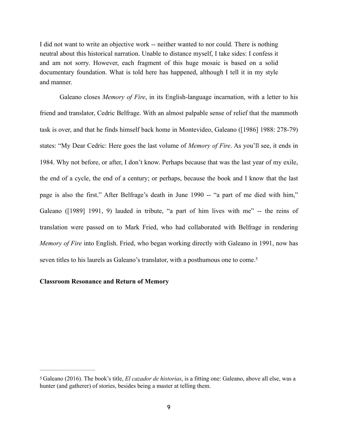I did not want to write an objective work -- neither wanted to nor could. There is nothing neutral about this historical narration. Unable to distance myself, I take sides: I confess it and am not sorry. However, each fragment of this huge mosaic is based on a solid documentary foundation. What is told here has happened, although I tell it in my style and manner.

Galeano closes *Memory of Fire*, in its English-language incarnation, with a letter to his friend and translator, Cedric Belfrage. With an almost palpable sense of relief that the mammoth task is over, and that he finds himself back home in Montevideo, Galeano ([1986] 1988: 278-79) states: "My Dear Cedric: Here goes the last volume of *Memory of Fire*. As you'll see, it ends in 1984. Why not before, or after, I don't know. Perhaps because that was the last year of my exile, the end of a cycle, the end of a century; or perhaps, because the book and I know that the last page is also the first." After Belfrage's death in June 1990 -- "a part of me died with him," Galeano ([1989] 1991, 9) lauded in tribute, "a part of him lives with me" -- the reins of translation were passed on to Mark Fried, who had collaborated with Belfrage in rendering *Memory of Fire* into English. Fried, who began working directly with Galeano in 1991, now has seven titles to his laurels as Galeano's translator, with a posthumous one to come.<sup>5</sup>

#### <span id="page-8-1"></span>**Classroom Resonance and Return of Memory**

<span id="page-8-0"></span>[<sup>5</sup>](#page-8-1) Galeano (2016). The book's title, *El cazador de historias*, is a fitting one: Galeano, above all else, was a hunter (and gatherer) of stories, besides being a master at telling them.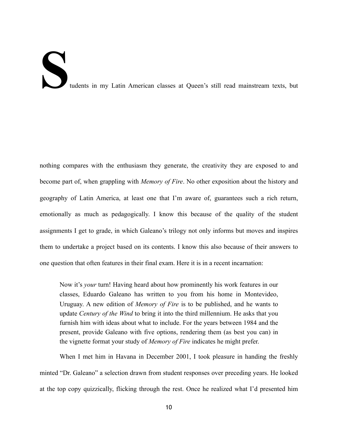# Tudents in my Latin American classes at Queen's still read mainstream texts, but

nothing compares with the enthusiasm they generate, the creativity they are exposed to and become part of, when grappling with *Memory of Fire*. No other exposition about the history and geography of Latin America, at least one that I'm aware of, guarantees such a rich return, emotionally as much as pedagogically. I know this because of the quality of the student assignments I get to grade, in which Galeano's trilogy not only informs but moves and inspires them to undertake a project based on its contents. I know this also because of their answers to one question that often features in their final exam. Here it is in a recent incarnation:

Now it's *your* turn! Having heard about how prominently his work features in our classes, Eduardo Galeano has written to you from his home in Montevideo, Uruguay. A new edition of *Memory of Fire* is to be published, and he wants to update *Century of the Wind* to bring it into the third millennium. He asks that you furnish him with ideas about what to include. For the years between 1984 and the present, provide Galeano with five options, rendering them (as best you can) in the vignette format your study of *Memory of Fire* indicates he might prefer.

When I met him in Havana in December 2001, I took pleasure in handing the freshly minted "Dr. Galeano" a selection drawn from student responses over preceding years. He looked at the top copy quizzically, flicking through the rest. Once he realized what I'd presented him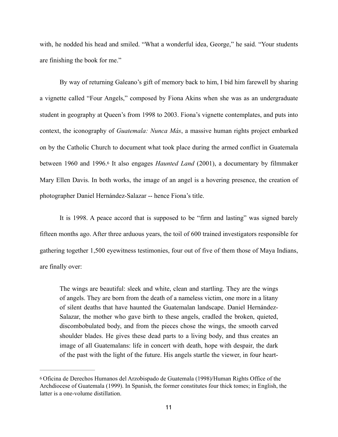with, he nodded his head and smiled. "What a wonderful idea, George," he said. "Your students are finishing the book for me."

By way of returning Galeano's gift of memory back to him, I bid him farewell by sharing a vignette called "Four Angels," composed by Fiona Akins when she was as an undergraduate student in geography at Queen's from 1998 to 2003. Fiona's vignette contemplates, and puts into context, the iconography of *Guatemala: Nunca Más*, a massive human rights project embarked on by the Catholic Church to document what took place during the armed conflict in Guatemala between 1960 and 1996[.6](#page-10-0) It also engages *Haunted Land* (2001), a documentary by filmmaker Mary Ellen Davis. In both works, the image of an angel is a hovering presence, the creation of photographer Daniel Hernández-Salazar -- hence Fiona's title.

<span id="page-10-1"></span>It is 1998. A peace accord that is supposed to be "firm and lasting" was signed barely fifteen months ago. After three arduous years, the toil of 600 trained investigators responsible for gathering together 1,500 eyewitness testimonies, four out of five of them those of Maya Indians, are finally over:

The wings are beautiful: sleek and white, clean and startling. They are the wings of angels. They are born from the death of a nameless victim, one more in a litany of silent deaths that have haunted the Guatemalan landscape. Daniel Hernández-Salazar, the mother who gave birth to these angels, cradled the broken, quieted, discombobulated body, and from the pieces chose the wings, the smooth carved shoulder blades. He gives these dead parts to a living body, and thus creates an image of all Guatemalans: life in concert with death, hope with despair, the dark of the past with the light of the future. His angels startle the viewer, in four heart-

<span id="page-10-0"></span>[<sup>6</sup>](#page-10-1) Oficina de Derechos Humanos del Arzobispado de Guatemala (1998)/Human Rights Office of the Archdiocese of Guatemala (1999). In Spanish, the former constitutes four thick tomes; in English, the latter is a one-volume distillation.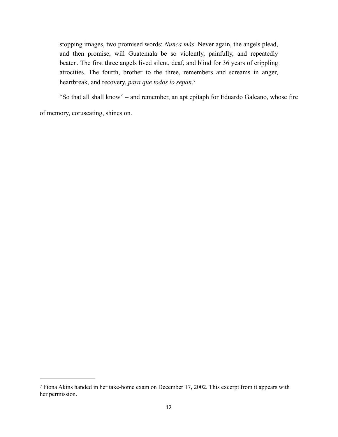stopping images, two promised words: *Nunca más*. Never again, the angels plead, and then promise, will Guatemala be so violently, painfully, and repeatedly beaten. The first three angels lived silent, deaf, and blind for 36 years of crippling atrocities. The fourth, brother to the three, remembers and screams in anger, heartbreak, and recovery, *para que todos lo sepan*. [7](#page-11-0)

<span id="page-11-1"></span>"So that all shall know" – and remember, an apt epitaph for Eduardo Galeano, whose fire

of memory, coruscating, shines on.

<span id="page-11-0"></span>[<sup>7</sup>](#page-11-1) Fiona Akins handed in her take-home exam on December 17, 2002. This excerpt from it appears with her permission.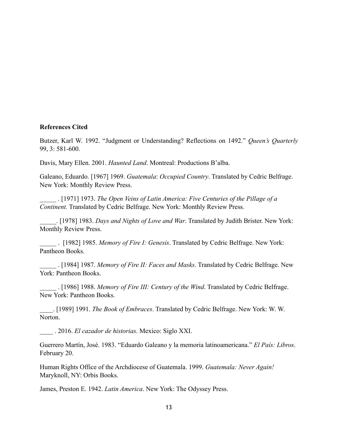# **References Cited**

Butzer, Karl W. 1992. "Judgment or Understanding? Reflections on 1492." *Queen's Quarterly* 99, 3: 581-600.

Davis, Mary Ellen. 2001. *Haunted Land*. Montreal: Productions B'alba.

Galeano, Eduardo. [1967] 1969. *Guatemala*: *Occupied Country*. Translated by Cedric Belfrage. New York: Monthly Review Press.

\_\_\_\_\_ . [1971] 1973. *The Open Veins of Latin America: Five Centuries of the Pillage of a Continent.* Translated by Cedric Belfrage. New York: Monthly Review Press.

\_\_\_\_\_. [1978] 1983. *Days and Nights of Love and War*. Translated by Judith Brister. New York: Monthly Review Press.

\_\_\_\_\_ . [1982] 1985. *Memory of Fire I: Genesis*. Translated by Cedric Belfrage. New York: Pantheon Books.

\_\_\_\_\_ . [1984] 1987. *Memory of Fire II: Faces and Masks*. Translated by Cedric Belfrage. New York: Pantheon Books.

\_\_\_\_\_ . [1986] 1988. *Memory of Fire III: Century of the Wind*. Translated by Cedric Belfrage. New York: Pantheon Books.

\_\_\_\_. [1989] 1991. *The Book of Embraces*. Translated by Cedric Belfrage. New York: W. W. Norton.

\_\_\_\_ . 2016. *El cazador de historias*. Mexico: Siglo XXI.

Guerrero Martín, José. 1983. "Eduardo Galeano y la memoria latinoamericana." *El País: Libros*. February 20.

Human Rights Office of the Archdiocese of Guatemala. 1999. *Guatemala: Never Again!* Maryknoll, NY: Orbis Books.

James, Preston E. 1942. *Latin America*. New York: The Odyssey Press.